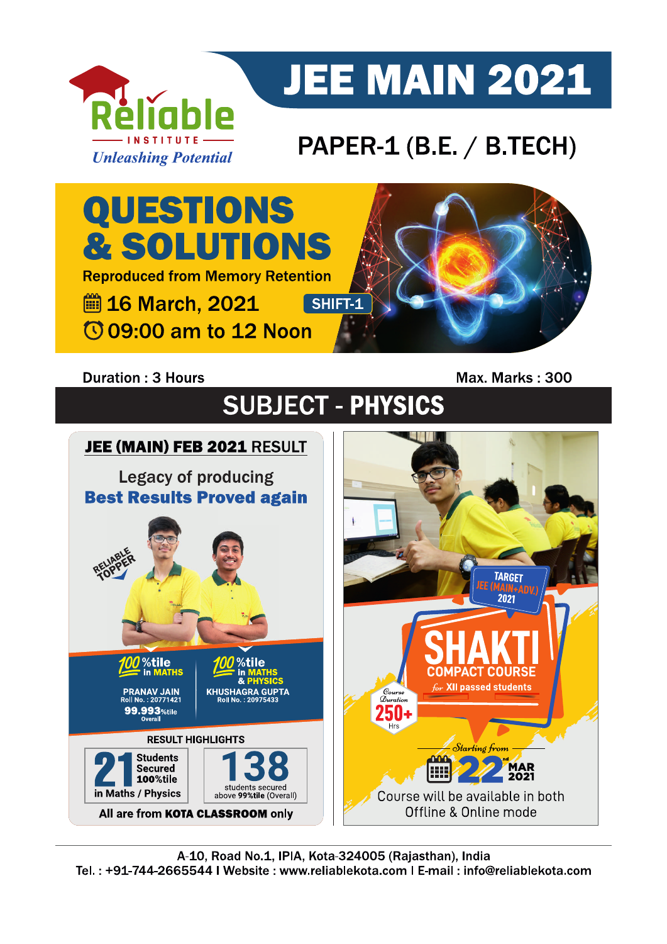

# **JEE MAIN 2021**

# PAPER-1 (B.E. / B.TECH)

QUESTIONS & SOLUTIONS **Reproduced from Memory Retention ■ 16 March, 2021** SHIFT-1 **109:00 am to 12 Noon** 

### **Duration: 3 Hours**

Max. Marks: 300

**SUBJECT - PHYSICS** 

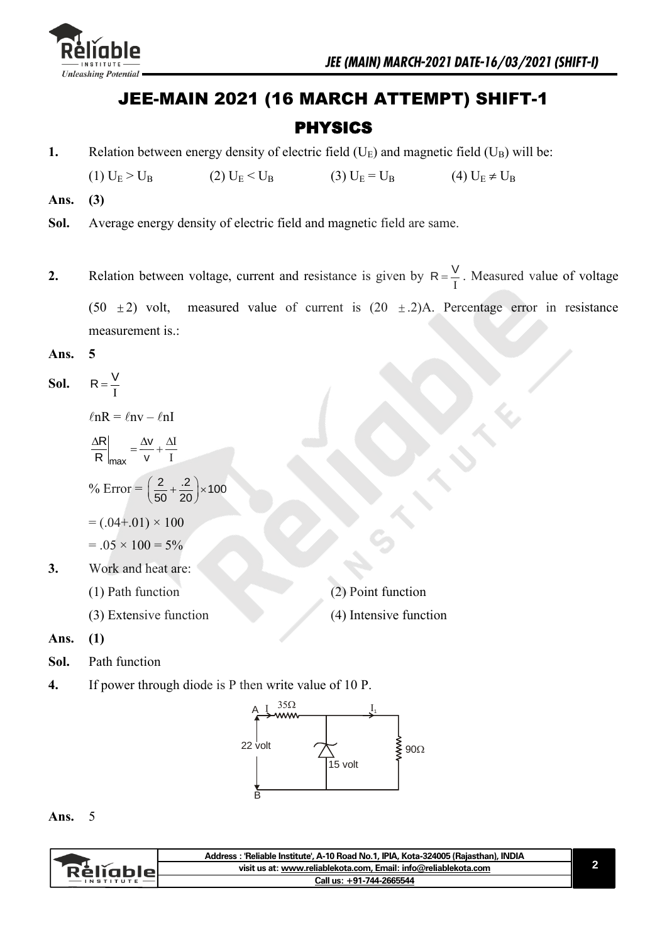

## JEE-MAIN 2021 (16 MARCH ATTEMPT) SHIFT-1 PHYSICS

**1.** Relation between energy density of electric field  $(U_E)$  and magnetic field  $(U_B)$  will be:

(1)  $U_E > U_B$  (2)  $U_E < U_B$  (3)  $U_E = U_B$  (4)  $U_E \neq U_B$ 

- **Ans. (3)**
- **Sol.** Average energy density of electric field and magnetic field are same.
- **2.** Relation between voltage, current and resistance is given by  $R = \frac{V}{I}$ . Measured value of voltage  $(50 +$ 2) volt, measured value of current is  $(20 \pm .2)$ A. Percentage error in resistance measurement is.:
- **Ans. 5**

**Sol.** 
$$
R = \frac{V}{I}
$$
  
\n
$$
\ln R = \ln V - \ln I
$$
  
\n
$$
\frac{\Delta R}{R} \bigg|_{max} = \frac{\Delta V}{V} + \frac{\Delta I}{I}
$$
  
\n
$$
\% \text{ Error} = \left(\frac{2}{50} + \frac{.2}{20}\right) \times 100
$$
  
\n
$$
= (.04+.01) \times 100
$$
  
\n
$$
= .05 \times 100 = 5\%
$$
  
\n**3.** Work and heat are:

- - (1) Path function (2) Point function
	- (3) Extensive function (4) Intensive function
- **Ans. (1)**
- **Sol.** Path function
- **4.** If power through diode is P then write value of 10 P.



#### **Ans.** 5

|            | Address: 'Reliable Institute', A-10 Road No.1, IPIA, Kota-324005 (Rajasthan), INDIA |  |
|------------|-------------------------------------------------------------------------------------|--|
| `RèlĭableL | visit us at: www.reliablekota.com, Email: info@reliablekota.com                     |  |
|            | Call us: +91-744-2665544                                                            |  |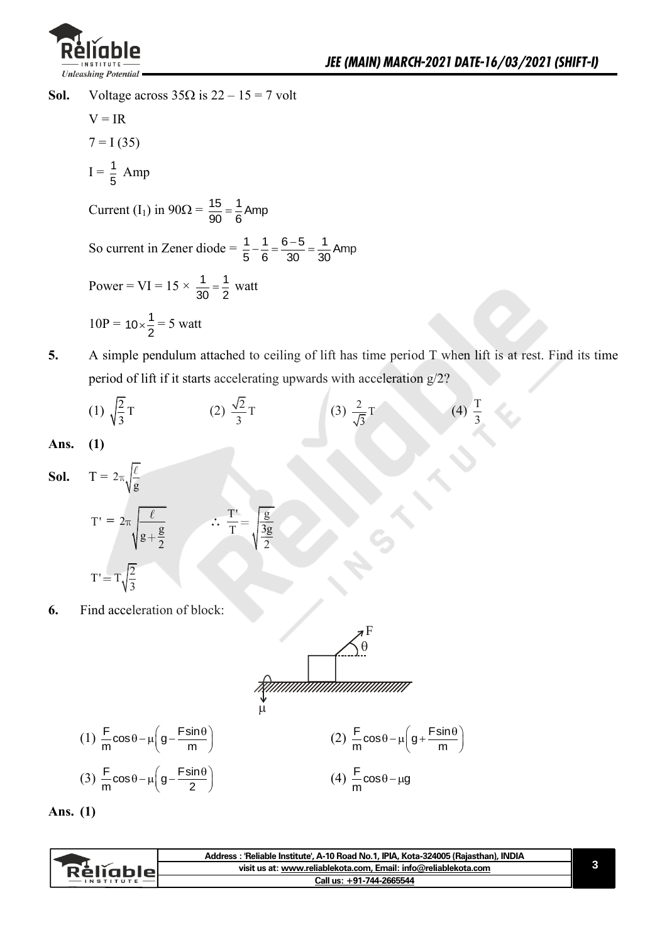

**Sol.** Voltage across  $35\Omega$  is  $22 - 15 = 7$  volt

 $V = IR$  $7 = I(35)$  $I = \frac{1}{5}$  $\frac{1}{5}$  Amp Current (I<sub>1</sub>) in  $90\Omega = \frac{15}{90} = \frac{1}{6}$  Amp So current in Zener diode =  $\frac{1}{5} - \frac{1}{2} = \frac{6-5}{20} = \frac{1}{20}$  Amp  $\frac{1}{5} - \frac{1}{6} = \frac{1}{30} = \frac{1}{30}$  $-\frac{1}{6} = \frac{6-5}{22} = \frac{1}{21}$ Power = VI =  $15 \times \frac{1}{20} = \frac{1}{2}$  $\frac{1}{30} = \frac{1}{2}$  watt  $10P = 10 \times \frac{1}{2} = 5$  watt

**5.** A simple pendulum attached to ceiling of lift has time period T when lift is at rest. Find its time period of lift if it starts accelerating upwards with acceleration g/2?

(1) 
$$
\sqrt{\frac{2}{3}}T
$$
 (2)  $\frac{\sqrt{2}}{3}T$  (3)  $\frac{2}{\sqrt{3}}T$  (4)  $\frac{T}{3}$ 

**Ans. (1)** 

**Sol.** 
$$
T = 2\pi \sqrt{\frac{\ell}{g}}
$$
  
\n $T' = 2\pi \sqrt{\frac{\ell}{g + \frac{g}{2}}}$   $\therefore \frac{T'}{T} = \sqrt{\frac{g}{\frac{3g}{2}}}$   
\n $T' = T\sqrt{\frac{2}{3}}$ 

**6.** Find acceleration of block:

$$
\frac{\sqrt{\theta}}{\pi} \cos \theta - \mu \left( g - \frac{F \sin \theta}{m} \right)
$$
\n(1)  $\frac{F}{m} \cos \theta - \mu \left( g - \frac{F \sin \theta}{m} \right)$   
\n(2)  $\frac{F}{m} \cos \theta - \mu \left( g + \frac{F \sin \theta}{m} \right)$   
\n(3)  $\frac{F}{m} \cos \theta - \mu \left( g - \frac{F \sin \theta}{2} \right)$   
\n(4)  $\frac{F}{m} \cos \theta - \mu g$ 

**Ans. (1)** 

|           | Address: 'Reliable Institute', A-10 Road No.1, IPIA, Kota-324005 (Rajasthan), INDIA |  |
|-----------|-------------------------------------------------------------------------------------|--|
| Rélĭablel | visit us at: www.reliablekota.com. Email: info@reliablekota.com                     |  |
|           | Call us: +91-744-2665544                                                            |  |
|           |                                                                                     |  |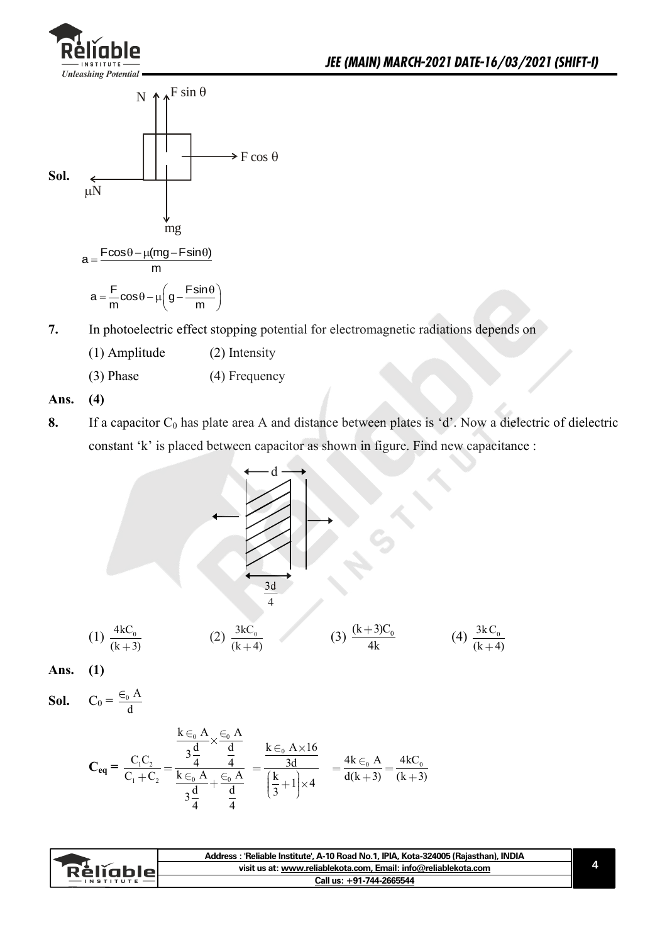

 $(k + 4)$ 



$$
a = \frac{F}{m}\cos\theta - \mu\left(g - \frac{F\sin\theta}{m}\right)
$$

- **7.** In photoelectric effect stopping potential for electromagnetic radiations depends on
	- (1) Amplitude (2) Intensity
	- (3) Phase (4) Frequency

**Ans. (4)** 

**8.** If a capacitor C<sub>0</sub> has plate area A and distance between plates is 'd'. Now a dielectric of dielectric constant 'k' is placed between capacitor as shown in figure. Find new capacitance :

$$
(1) \frac{4kC_0}{(k+3)}
$$
\n
$$
(2) \frac{3kC_0}{(k+4)}
$$
\n
$$
(3) \frac{(k+3)C_0}{4k}
$$
\n
$$
(4) \frac{3kC_0}{(k+4)}
$$

**Ans. (1)**

**Sol.**  $C_0 = \frac{\epsilon_0 A}{1}$ d

$$
C_{eq} = \frac{C_1 C_2}{C_1 + C_2} = \frac{\frac{k \in_0 A}{3\frac{d}{4}} \times \frac{\in_0 A}{\frac{d}{4}}}{\frac{k \in_0 A}{3\frac{d}{4}} + \frac{\in_0 A}{\frac{d}{4}}} = \frac{\frac{k \in_0 A \times 16}{3d}}{\left(\frac{k}{3} + 1\right) \times 4} = \frac{4k \in_0 A}{d(k+3)} = \frac{4kC_0}{(k+3)}
$$

|                     | Address : 'Reliable Institute', A-10 Road No.1, IPIA, Kota-324005 (Rajasthan), INDIA |  |
|---------------------|--------------------------------------------------------------------------------------|--|
| ∵R <b>èlĭable</b> ∟ | visit us at: www.reliablekota.com, Email: info@reliablekota.com                      |  |
| $-$ INSTITUTE       | Call us: +91-744-2665544                                                             |  |
|                     |                                                                                      |  |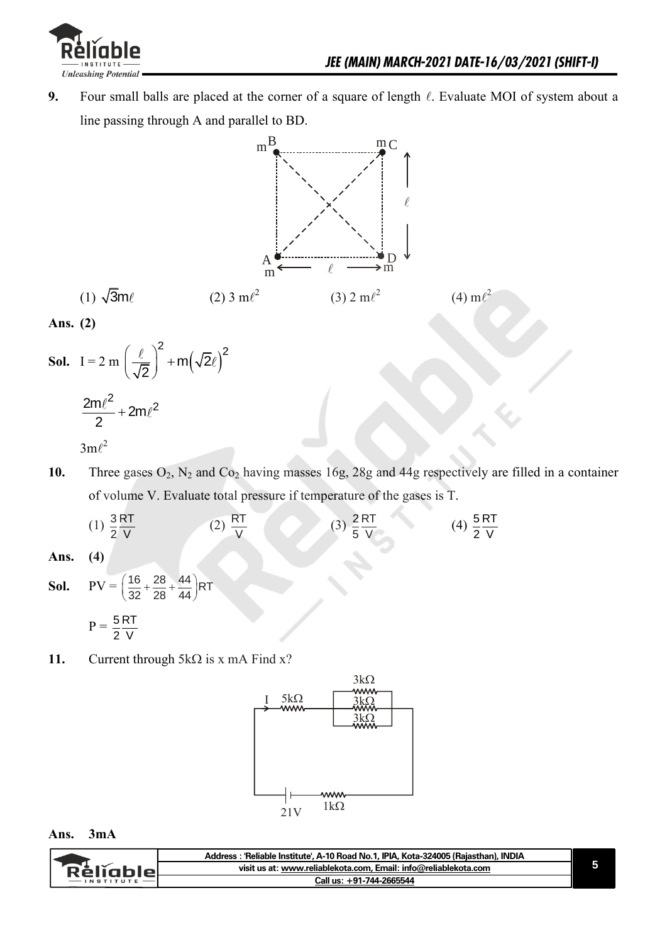

**9.** Four small balls are placed at the corner of a square of length  $\ell$ . Evaluate MOI of system about a line passing through A and parallel to BD.



**Ans. (2)** 

- **Sol.** I = 2 m  $\left| \frac{\epsilon}{\sqrt{2}} \right|$  + m( $\sqrt{2\ell}$ )  $2 + m(\sqrt{2}\ell)^2$ 2  $(\ell)^2$  $\left(\frac{\epsilon}{\sqrt{2}}\right)$  +  $\frac{2m\ell^2}{2}$  + 2m $\ell^2$ 2  $\overline{+}$  $3m\ell^2$
- 10. Three gases  $O_2$ ,  $N_2$  and  $Co_2$  having masses 16g, 28g and 44g respectively are filled in a container of volume V. Evaluate total pressure if temperature of the gases is T.
- $(1) \frac{3}{2}$  RT 2 V  $(2)$  RT V  $(3) \frac{2RT}{5+1}$ 5 V  $(4) \frac{5}{6}$  RT 2 V **Ans. (4) Sol.**  $PV = \left(\frac{16}{28} + \frac{28}{28} + \frac{44}{44}\right)RT$  $\left(\frac{16}{32} + \frac{28}{28} + \frac{44}{44}\right)R$  $P = \frac{5}{3}$  RT 2 V
- **11.** Current through  $5k\Omega$  is x mA Find x?



#### **Ans. 3mA**

|           | Address: 'Reliable Institute', A-10 Road No.1, IPIA, Kota-324005 (Rajasthan), INDIA |
|-----------|-------------------------------------------------------------------------------------|
| Réliable! | visit us at: www.reliablekota.com, Email: info@reliablekota.com                     |
|           | Call us: +91-744-2665544                                                            |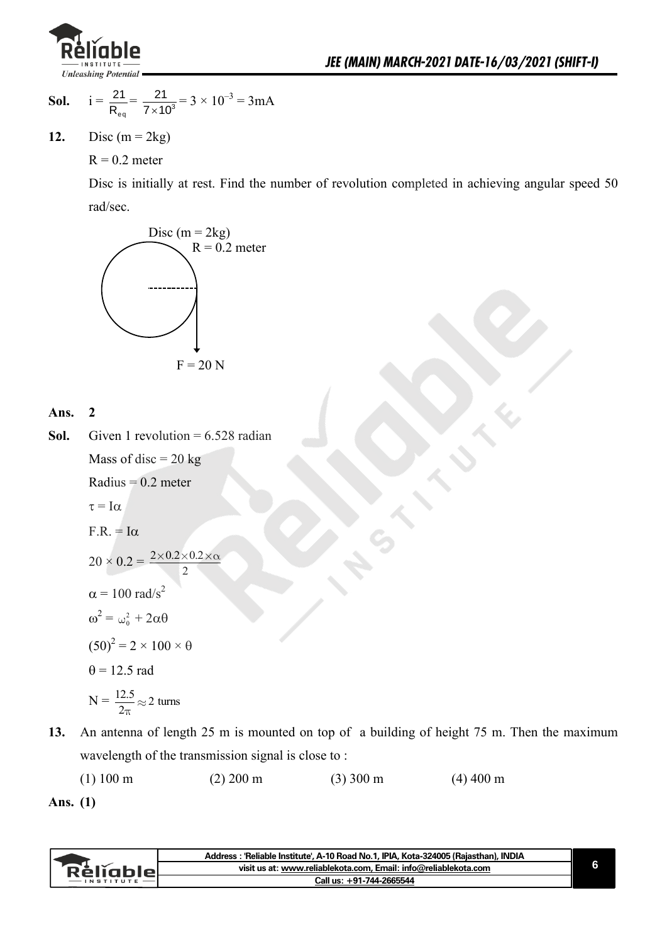

**Sol.** 
$$
i = \frac{21}{R_{eq}} = \frac{21}{7 \times 10^3} = 3 \times 10^{-3} = 3mA
$$

12. Disc  $(m = 2kg)$ 

 $R = 0.2$  meter

 Disc is initially at rest. Find the number of revolution completed in achieving angular speed 50 rad/sec.





**Sol.** Given 1 revolution  $= 6.528$  radian Mass of disc  $= 20$  kg  $Radius = 0.2$  meter

$$
\tau = I\alpha
$$

 $F.R. = I\alpha$ 

$$
20 \times 0.2 = \frac{2 \times 0.2 \times 0.2 \times c}{2}
$$

$$
\alpha = 100 \text{ rad/s}^2
$$

$$
\omega^2 = \omega_0^2 + 2\alpha\theta
$$

$$
(50)^2 = 2 \times 100 \times \theta
$$

$$
\theta = 12.5 \text{ rad}
$$

$$
N = \frac{12.5}{2\pi} \approx 2 \text{ turns}
$$

**13.** An antenna of length 25 m is mounted on top of a building of height 75 m. Then the maximum wavelength of the transmission signal is close to :

(1) 100 m (2) 200 m (3) 300 m (4) 400 m

**Ans. (1)** 

|             | : : 'Reliable Institute', A-10 Road No.1, IPIA, Kota-324005 (Rajasthan), INDIA<br><b>Address</b> |  |
|-------------|--------------------------------------------------------------------------------------------------|--|
| : ReliableL | visit us at: www.reliablekota.com, Email: info@reliablekota.com                                  |  |
|             | Call us: +91-744-2665544                                                                         |  |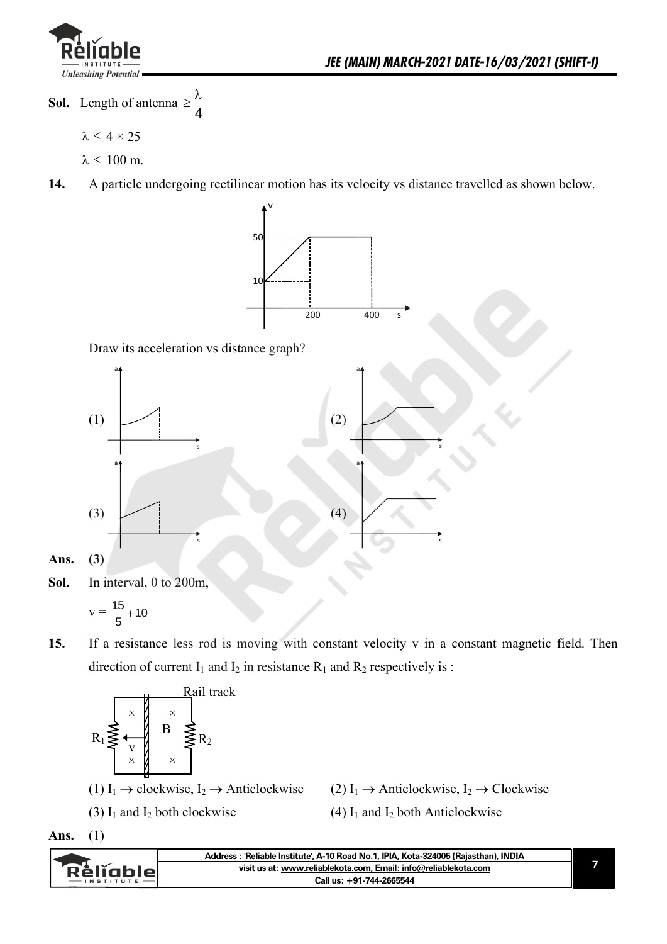

**Sol.** Length of antenna 4  $\geq \frac{\lambda}{4}$ 

 $\lambda \leq 4 \times 25$ 

 $\lambda \leq 100$  m.

**14.** A particle undergoing rectilinear motion has its velocity vs distance travelled as shown below.



Draw its acceleration vs distance graph?



**Sol.** In interval, 0 to 200m,

$$
v=\frac{15}{5}+10
$$

**15.** If a resistance less rod is moving with constant velocity v in a constant magnetic field. Then direction of current  $I_1$  and  $I_2$  in resistance  $R_1$  and  $R_2$  respectively is :



**Ans.** (1)

| <b>Réliable</b><br>visit us at: www.reliablekota.com, Email: info@reliablekota.com |              | Address: 'Reliable Institute', A-10 Road No.1, IPIA, Kota-324005 (Rajasthan), INDIA |
|------------------------------------------------------------------------------------|--------------|-------------------------------------------------------------------------------------|
|                                                                                    |              |                                                                                     |
|                                                                                    | - IN STITUTE | Call us: +91-744-2665544                                                            |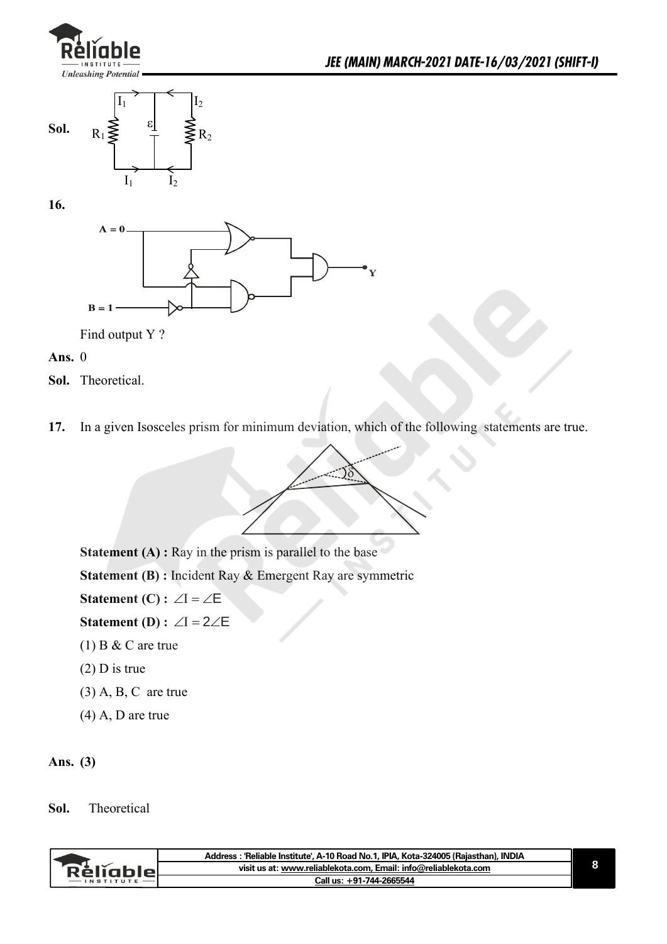



**16.** 



Find output Y ?

**Ans.** 0

**Sol.** Theoretical.

**17.** In a given Isosceles prism for minimum deviation, which of the following statements are true.



**Statement (A) :** Ray in the prism is parallel to the base

**Statement (B) : Incident Ray & Emergent Ray are symmetric** 

**Statement (C) :**  $\angle I = \angle E$ 

**Statement (D) :**  $\angle I = 2\angle E$ 

- $(1)$  B & C are true
- (2) D is true
- $(3)$  A, B, C are true
- (4) A, D are true

#### **Ans. (3)**

#### **Sol.** Theoretical

|              | Address: 'Reliable Institute', A-10 Road No.1, IPIA, Kota-324005 (Raiasthan), INDIA |  |
|--------------|-------------------------------------------------------------------------------------|--|
| . Reliable - | visit us at: www.reliablekota.com, Email: info@reliablekota.com                     |  |
|              | Call us: +91-744-2665544                                                            |  |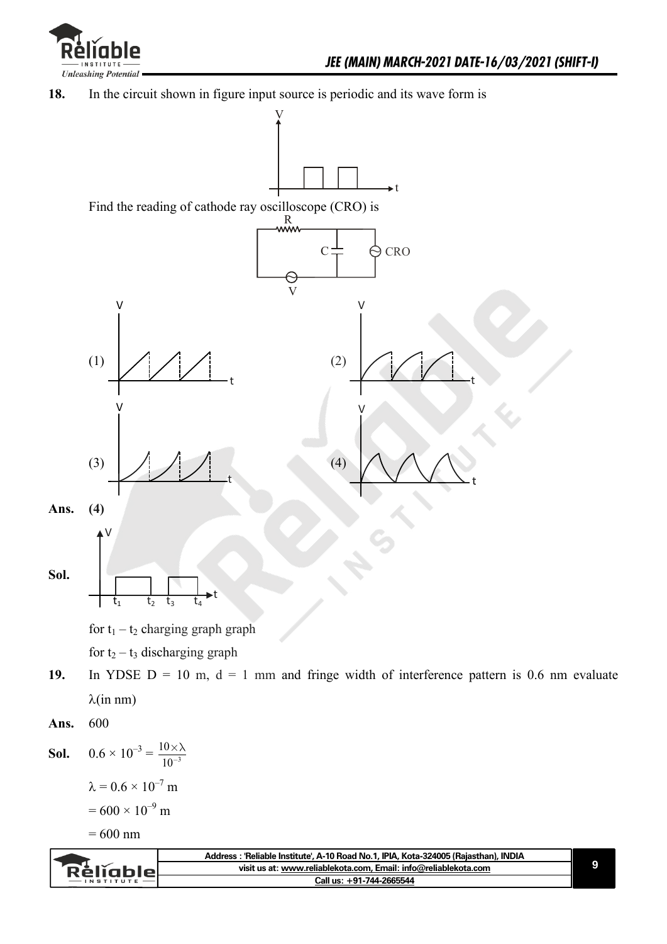

**18.** In the circuit shown in figure input source is periodic and its wave form is



 $\lambda = 0.6 \times 10^{-7}$  m  $= 600 \times 10^{-9}$  m

 $= 600$  nm

|         | ˈReliable Institute', A-10 Road No.1, IPIA, Kota-324005 (Rajasthan), INDIA<br><b>Address</b> |  |
|---------|----------------------------------------------------------------------------------------------|--|
| кешппіо | visit us at: www.reliablekota.com, Email: info@reliablekota.com                              |  |
|         | Call us: +91-744-2665544                                                                     |  |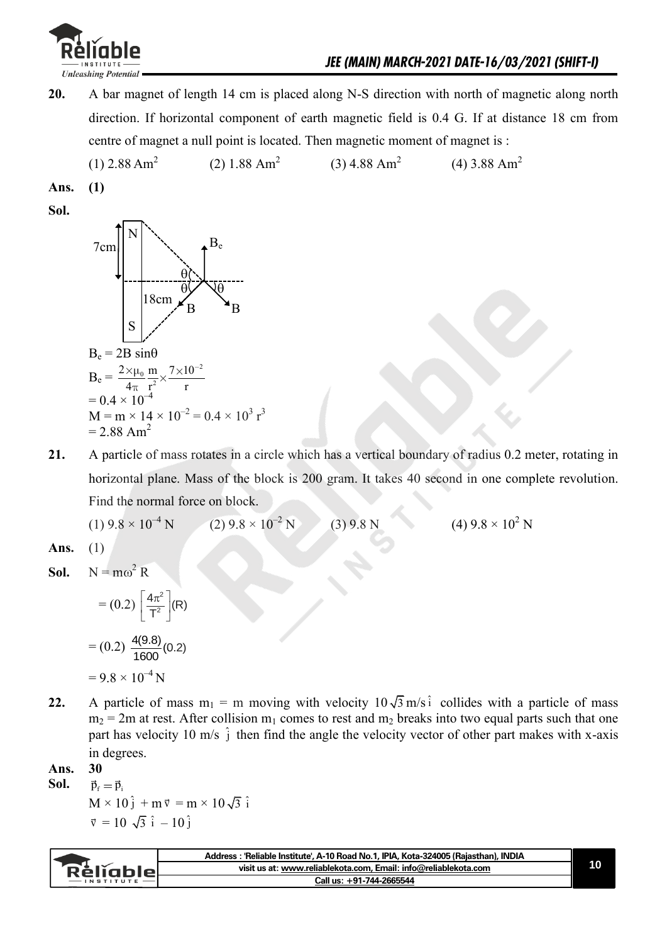

**20.** A bar magnet of length 14 cm is placed along N-S direction with north of magnetic along north direction. If horizontal component of earth magnetic field is 0.4 G. If at distance 18 cm from centre of magnet a null point is located. Then magnetic moment of magnet is :

 (1) 2.88 Am<sup>2</sup> (2) 1.88 Am<sup>2</sup> (3) 4.88 Am<sup>2</sup> (4) 3.88 Am<sup>2</sup>

**Ans. (1)** 

**Sol.**



**21.** A particle of mass rotates in a circle which has a vertical boundary of radius 0.2 meter, rotating in horizontal plane. Mass of the block is 200 gram. It takes 40 second in one complete revolution. Find the normal force on block.

 $(1)$  9.8  $\times$  10<sup>-4</sup> N  $(2)$  9.8  $\times$  10<sup>-2</sup> N N (3)  $9.8 \text{ N}$  (4)  $9.8 \times 10^2 \text{ N}$ 

**Ans.** (1)

**Sol.**  $N = m\omega^2 R$ 

$$
= (0.2) \left[ \frac{4\pi^2}{T^2} \right] (R)
$$

$$
= (0.2) \frac{4(9.8)}{1600} (0.2)
$$

$$
= 9.8 \times 10^{-4} N
$$

**22.** A particle of mass  $m_1 = m$  moving with velocity  $10\sqrt{3}$  m/s i collides with a particle of mass  $m_2$  = 2m at rest. After collision  $m_1$  comes to rest and  $m_2$  breaks into two equal parts such that one part has velocity 10 m/s  $\hat{j}$  then find the angle the velocity vector of other part makes with x-axis in degrees.

**Ans. 30**

- **Sol.**  $\vec{p}_f = \vec{p}_i$
- $M \times 10^{\frac{2}{3}} + m \vec{v} = m \times 10 \sqrt{3} \hat{i}$  $\vec{v} = 10 \sqrt{3} \hat{i} - 10 \hat{j}$

|                  | Address : 'Reliable Institute', A-10 Road No.1, IPIA, Kota-324005 (Rajasthan), INDIA |  |
|------------------|--------------------------------------------------------------------------------------|--|
| <b>Rèligble</b>  | visit us at: www.reliablekota.com, Email: info@reliablekota.com                      |  |
| <b>INSTITUTE</b> | Call us: +91-744-2665544                                                             |  |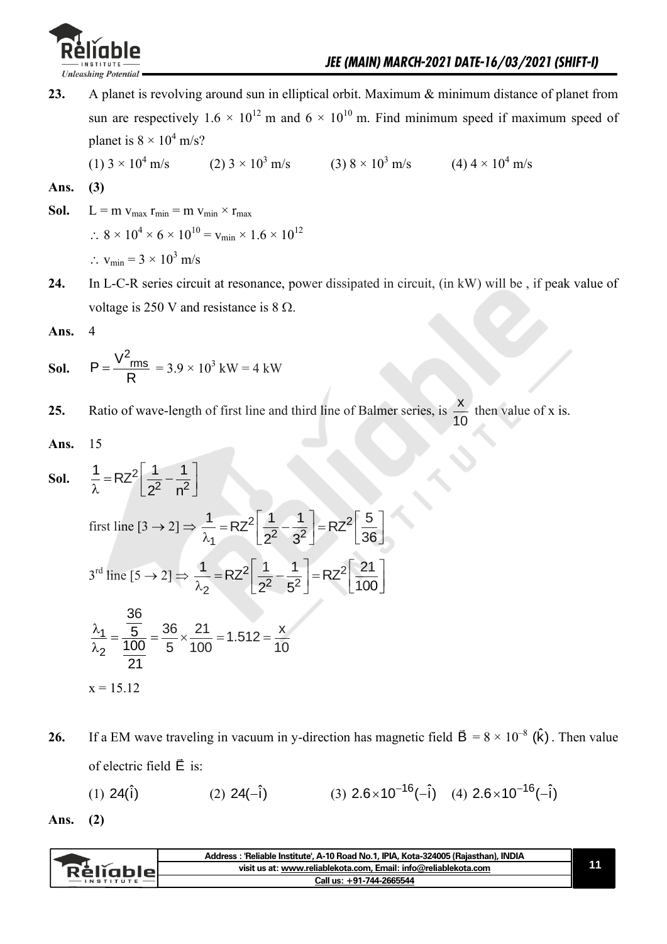

**23.** A planet is revolving around sun in elliptical orbit. Maximum & minimum distance of planet from sun are respectively 1.6  $\times$  10<sup>12</sup> m and 6  $\times$  10<sup>10</sup> m. Find minimum speed if maximum speed of planet is  $8 \times 10^4$  m/s?

$$
(1) 3 \times 10^4 \text{ m/s} \qquad (2) 3 \times 10^3 \text{ m/s} \qquad (3) 8 \times 10^3 \text{ m/s} \qquad (4) 4 \times 10^4 \text{ m/s}
$$

Ans. 
$$
(3)
$$

- **Sol.**  $L = m v_{max} r_{min} = m v_{min} \times r_{max}$  $\therefore$  8 × 10<sup>4</sup> × 6 × 10<sup>10</sup> = v<sub>min</sub> × 1.6 × 10<sup>12</sup>  $\therefore$  v<sub>min</sub> = 3 × 10<sup>3</sup> m/s
- **24.** In L-C-R series circuit at resonance, power dissipated in circuit, (in kW) will be , if peak value of voltage is 250 V and resistance is  $8 \Omega$ .

**Ans.** 4

**Sol.** 
$$
P = \frac{V^2_{rms}}{R} = 3.9 \times 10^3 \text{ kW} = 4 \text{ kW}
$$

**25.** Ratio of wave-length of first line and third line of Balmer series, is  $\frac{\mathsf{x}}{\mathsf{x}}$ 10 then value of x is.

**Ans.** 15

**Sol.** 
$$
\frac{1}{\lambda} = RZ^2 \left[ \frac{1}{2^2} - \frac{1}{n^2} \right]
$$
  
\nfirst line  $[3 \rightarrow 2] \Rightarrow \frac{1}{\lambda_1} = RZ^2 \left[ \frac{1}{2^2} - \frac{1}{3^2} \right] = RZ^2 \left[ \frac{5}{36} \right]$   
\n $3^{rd}$  line  $[5 \rightarrow 2] \Rightarrow \frac{1}{\lambda_2} = RZ^2 \left[ \frac{1}{2^2} - \frac{1}{5^2} \right] = RZ^2 \left[ \frac{21}{100} \right]$   
\n $\frac{\lambda_1}{\lambda_2} = \frac{\frac{36}{5}}{\frac{100}{21}} = \frac{36}{5} \times \frac{21}{100} = 1.512 = \frac{x}{10}$   
\n $x = 15.12$ 

**26.** If a EM wave traveling in vacuum in y-direction has magnetic field  $\vec{B} = 8 \times 10^{-8}$  ( $\hat{k}$ ). Then value of electric field  $\vec{E}$  is:

(1) 
$$
24(\hat{i})
$$
 (2)  $24(-\hat{i})$  (3)  $2.6 \times 10^{-16}(-\hat{i})$  (4)  $2.6 \times 10^{-16}(-\hat{i})$ 

**Ans. (2)**

| visit us at: www.reliablekota.com, Email: info@reliablekota.com<br><b>Rèliable</b> | Address : 'Reliable Institute', A-10 Road No.1, IPIA, Kota-324005 (Rajasthan), INDIA |  |
|------------------------------------------------------------------------------------|--------------------------------------------------------------------------------------|--|
|                                                                                    |                                                                                      |  |
|                                                                                    | Call us: +91-744-2665544                                                             |  |